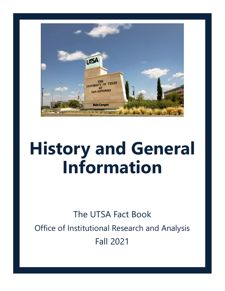

# **History and General Information**

The UTSA Fact Book Office of Institutional Research and Analysis Fall 2021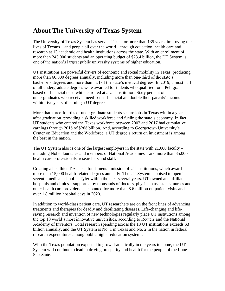## **About The University of Texas System**

The University of Texas System has served Texas for more than 135 years, improving the lives of Texans—and people all over the world—through education, health care and research at 13 academic and health institutions across the state. With an enrollment of more than 243,000 students and an operating budget of \$23.4 billion, the UT System is one of the nation's largest public university systems of higher education.

UT institutions are powerful drivers of economic and social mobility in Texas, producing more than 60,000 degrees annually, including more than one-third of the state's bachelor's degrees and more than half of the state's medical degrees. In 2019, almost half of all undergraduate degrees were awarded to students who qualified for a Pell grant based on financial need while enrolled at a UT institution. Sixty percent of undergraduates who received need-based financial aid double their parents' income within five years of earning a UT degree.

More than three-fourths of undergraduate students secure jobs in Texas within a year after graduation, providing a skilled workforce and fueling the state's economy. In fact, UT students who entered the Texas workforce between 2002 and 2017 had cumulative earnings through 2018 of \$268 billion. And, according to Georgetown University's Center on Education and the Workforce, a UT degree's return on investment is among the best in the nation.

The UT System also is one of the largest employers in the state with  $21,000$  faculty – including Nobel laureates and members of National Academies – and more than 85,000 health care professionals, researchers and staff.

Creating a healthier Texas is a fundamental mission of UT institutions, which award more than 15,000 health-related degrees annually. The UT System is poised to open its seventh medical school in Tyler within the next several years. UT-owned and affiliated hospitals and clinics – supported by thousands of doctors, physician assistants, nurses and other health care providers – accounted for more than 8.6 million outpatient visits and over 1.8 million hospital days in 2020.

In addition to world-class patient care, UT researchers are on the front lines of advancing treatments and therapies for deadly and debilitating diseases. Life-changing and lifesaving research and invention of new technologies regularly place UT institutions among the top 10 world's most innovative universities, according to Reuters and the National Academy of Inventors. Total research spending across the 13 UT institutions exceeds \$3 billion annually, and the UT System is No. 1 in Texas and No. 2 in the nation in federal research expenditures among public higher education systems.

With the Texas population expected to grow dramatically in the years to come, the UT System will continue to lead in driving prosperity and health for the people of the Lone Star State.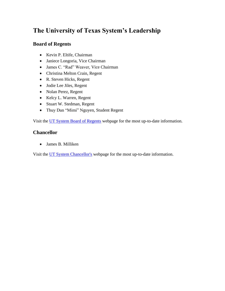# **The University of Texas System's Leadership**

#### **Board of Regents**

- Kevin P. Eltife, Chairman
- Janiece Longoria, Vice Chairman
- James C. "Rad" Weaver, Vice Chairman
- Christina Melton Crain, Regent
- R. Steven Hicks, Regent
- Jodie Lee Jiles, Regent
- Nolan Perez, Regent
- Kelcy L. Warren, Regent
- Stuart W. Stedman, Regent
- Thuy Dan "Mimi" Nguyen, Student Regent

Visit the UT System [Board of Regents](https://utsystem.edu/offices/board-regents) webpage for the most up-to-date information.

#### **Chancellor**

• James B. Milliken

Visit the UT [System Chancellor's](https://utsystem.edu/chancellor) webpage for the most up-to-date information.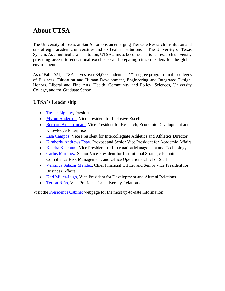# **About UTSA**

The University of Texas at San Antonio is an emerging Tier One Research Institution and one of eight academic universities and six health institutions in The University of Texas System. As a multicultural institution, UTSA aims to become a national research university providing access to educational excellence and preparing citizen leaders for the global environment.

As of Fall 2021, UTSA serves over 34,000 students in 171 degree programs in the colleges of Business, Education and Human Development, Engineering and Integrated Design, Honors, Liberal and Fine Arts, Health, Community and Policy, Sciences, University College, and the Graduate School.

#### **UTSA's Leadership**

- [Taylor Eighmy,](https://www.utsa.edu/president/biography/index.html) President
- [Myron Anderson,](https://www.utsa.edu/inclusiveexcellence/leadership/vicepresident/index.html) Vice President for Inclusive Excellence
- [Bernard Arulanandam,](http://research.utsa.edu/vprbio/#_ga=2.45310372.1407750832.1606758451-1274428901.1601499858) Vice President for Research, Economic Development and Knowledge Enterprise
- [Lisa Campos,](https://goutsa.com/staff-directory/lisa-campos/300#_ga=2.45310372.1407750832.1606758451-1274428901.1601499858) Vice President for Intercollegiate Athletics and Athletics Director
- [Kimberly Andrews Espy,](https://provost.utsa.edu/about/biography.html#_ga=2.39988258.1407750832.1606758451-1274428901.1601499858) Provost and Senior Vice President for Academic Affairs
- [Kendra Ketchum,](https://www.utsa.edu/techsolutions/AboutUs/kendra-ketchum.html) Vice President for Information Management and Technology
- [Carlos Martinez,](https://www.utsa.edu/president/organization/office.html) Senior Vice President for Institutional Strategic Planning, Compliance Risk Management, and Office Operations Chief of Staff
- [Veronica Salazar Mendez,](https://www.utsa.edu/businessaffairs/about/bios/bio-vmendez.html) Chief Financial Officer and Senior Vice President for Business Affairs
- [Karl Miller-Lugo,](https://www.utsa.edu/vpdar/index.html) Vice President for Development and Alumni Relations
- [Teresa Niño,](https://www.utsa.edu/vpur/leadership/) Vice President for University Relations

Visit the [President's Cabinet](https://www.utsa.edu/president/organization/cabinet.html) webpage for the most up-to-date information.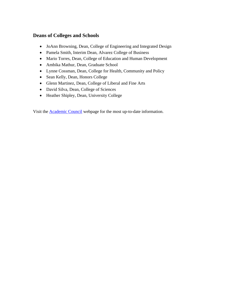#### **Deans of Colleges and Schools**

- JoAnn Browning, Dean, College of Engineering and Integrated Design
- Pamela Smith, Interim Dean, Alvarez College of Business
- Mario Torres, Dean, College of Education and Human Development
- Ambika Mathur, Dean, Graduate School
- Lynne Cossman, Dean, College for Health, Community and Policy
- Sean Kelly, Dean, Honors College
- Glenn Martinez, Dean, College of Liberal and Fine Arts
- David Silva, Dean, College of Sciences
- Heather Shipley, Dean, University College

Visit the [Academic Council](https://provost.utsa.edu/about/academic-council.html) webpage for the most up-to-date information.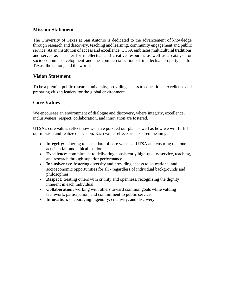#### **Mission Statement**

The University of Texas at San Antonio is dedicated to the advancement of knowledge through research and discovery, teaching and learning, community engagement and public service. As an institution of access and excellence, UTSA embraces multicultural traditions and serves as a center for intellectual and creative resources as well as a catalyst for socioeconomic development and the commercialization of intellectual property — for Texas, the nation, and the world.

#### **Vision Statement**

To be a premier public research university, providing access to educational excellence and preparing citizen leaders for the global environment.

#### **Core Values**

We encourage an environment of dialogue and discovery, where integrity, excellence, inclusiveness, respect, collaboration, and innovation are fostered.

UTSA's core values reflect how we have pursued our plan as well as how we will fulfill our mission and realize our vision. Each value reflects rich, shared meaning:

- **Integrity:** adhering to a standard of core values at UTSA and ensuring that one acts in a fair and ethical fashion.
- **Excellence:** commitment to delivering consistently high-quality service, teaching, and research through superior performance.
- **Inclusiveness:** fostering diversity and providing access to educational and socioeconomic opportunities for all - regardless of individual backgrounds and philosophies.
- **Respect:** treating others with civility and openness, recognizing the dignity inherent in each individual.
- **Collaboration:** working with others toward common goals while valuing teamwork, participation, and commitment to public service.
- **Innovation:** encouraging ingenuity, creativity, and discovery.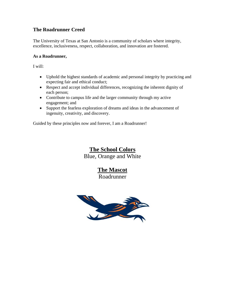#### **The Roadrunner Creed**

The University of Texas at San Antonio is a community of scholars where integrity, excellence, inclusiveness, respect, collaboration, and innovation are fostered.

#### **As a Roadrunner,**

I will:

- Uphold the highest standards of academic and personal integrity by practicing and expecting fair and ethical conduct;
- Respect and accept individual differences, recognizing the inherent dignity of each person;
- Contribute to campus life and the larger community through my active engagement; and
- Support the fearless exploration of dreams and ideas in the advancement of ingenuity, creativity, and discovery.

Guided by these principles now and forever, I am a Roadrunner!

## **The School Colors**

Blue, Orange and White

### **The Mascot**

Roadrunner